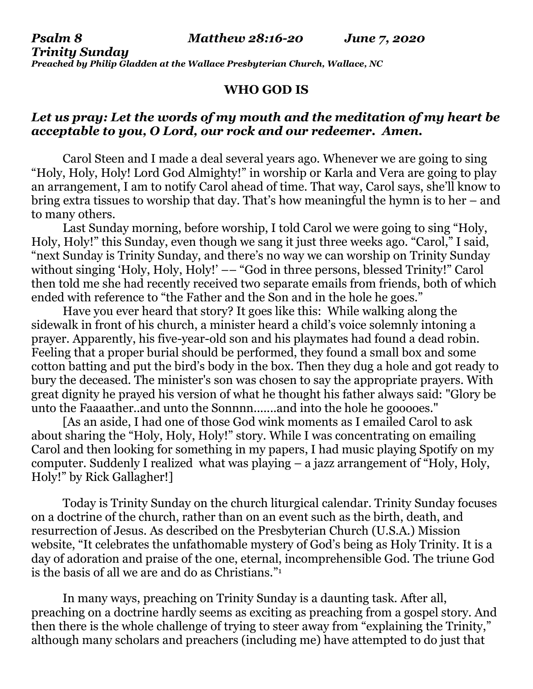*Psalm 8 Matthew 28:16-20 June 7, 2020 Trinity Sunday Preached by Philip Gladden at the Wallace Presbyterian Church, Wallace, NC*

# **WHO GOD IS**

# *Let us pray: Let the words of my mouth and the meditation of my heart be acceptable to you, O Lord, our rock and our redeemer. Amen.*

Carol Steen and I made a deal several years ago. Whenever we are going to sing "Holy, Holy, Holy! Lord God Almighty!" in worship or Karla and Vera are going to play an arrangement, I am to notify Carol ahead of time. That way, Carol says, she'll know to bring extra tissues to worship that day. That's how meaningful the hymn is to her – and to many others.

Last Sunday morning, before worship, I told Carol we were going to sing "Holy, Holy, Holy!" this Sunday, even though we sang it just three weeks ago. "Carol," I said, "next Sunday is Trinity Sunday, and there's no way we can worship on Trinity Sunday without singing 'Holy, Holy, Holy!' -- "God in three persons, blessed Trinity!" Carol then told me she had recently received two separate emails from friends, both of which ended with reference to "the Father and the Son and in the hole he goes."

Have you ever heard that story? It goes like this: While walking along the sidewalk in front of his church, a minister heard a child's voice solemnly intoning a prayer. Apparently, his five-year-old son and his playmates had found a dead robin. Feeling that a proper burial should be performed, they found a small box and some cotton batting and put the bird's body in the box. Then they dug a hole and got ready to bury the deceased. The minister's son was chosen to say the appropriate prayers. With great dignity he prayed his version of what he thought his father always said: "Glory be unto the Faaaather..and unto the Sonnnn.......and into the hole he gooooes."

[As an aside, I had one of those God wink moments as I emailed Carol to ask about sharing the "Holy, Holy, Holy!" story. While I was concentrating on emailing Carol and then looking for something in my papers, I had music playing Spotify on my computer. Suddenly I realized what was playing – a jazz arrangement of "Holy, Holy, Holy!" by Rick Gallagher!]

Today is Trinity Sunday on the church liturgical calendar. Trinity Sunday focuses on a doctrine of the church, rather than on an event such as the birth, death, and resurrection of Jesus. As described on the Presbyterian Church (U.S.A.) Mission website, "It celebrates the unfathomable mystery of God's being as Holy Trinity. It is a day of adoration and praise of the one, eternal, incomprehensible God. The triune God is the basis of all we are and do as Christians." 1

In many ways, preaching on Trinity Sunday is a daunting task. After all, preaching on a doctrine hardly seems as exciting as preaching from a gospel story. And then there is the whole challenge of trying to steer away from "explaining the Trinity," although many scholars and preachers (including me) have attempted to do just that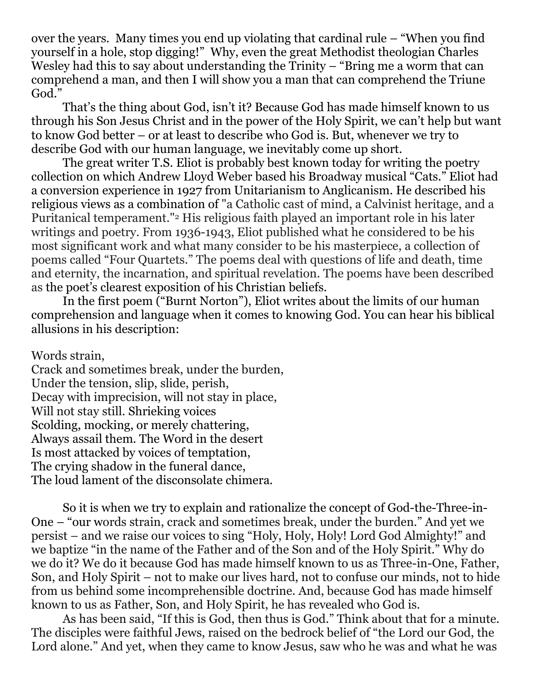over the years. Many times you end up violating that cardinal rule – "When you find yourself in a hole, stop digging!" Why, even the great Methodist theologian Charles Wesley had this to say about understanding the Trinity – "Bring me a worm that can comprehend a man, and then I will show you a man that can comprehend the Triune God."

That's the thing about God, isn't it? Because God has made himself known to us through his Son Jesus Christ and in the power of the Holy Spirit, we can't help but want to know God better – or at least to describe who God is. But, whenever we try to describe God with our human language, we inevitably come up short.

The great writer T.S. Eliot is probably best known today for writing the poetry collection on which Andrew Lloyd Weber based his Broadway musical "Cats." Eliot had a conversion experience in 1927 from Unitarianism to Anglicanism. He described his religious views as a combination of "a Catholic cast of mind, a Calvinist heritage, and a Puritanical temperament." <sup>2</sup> His religious faith played an important role in his later writings and poetry. From 1936-1943, Eliot published what he considered to be his most significant work and what many consider to be his masterpiece, a collection of poems called "Four Quartets." The poems deal with questions of life and death, time and eternity, the incarnation, and spiritual revelation. The poems have been described as the poet's clearest exposition of his Christian beliefs.

In the first poem ("Burnt Norton"), Eliot writes about the limits of our human comprehension and language when it comes to knowing God. You can hear his biblical allusions in his description:

Words strain,

Crack and sometimes break, under the burden, Under the tension, slip, slide, perish, Decay with imprecision, will not stay in place, Will not stay still. Shrieking voices Scolding, mocking, or merely chattering, Always assail them. The Word in the desert Is most attacked by voices of temptation, The crying shadow in the funeral dance, The loud lament of the disconsolate chimera.

So it is when we try to explain and rationalize the concept of God-the-Three-in-One – "our words strain, crack and sometimes break, under the burden." And yet we persist – and we raise our voices to sing "Holy, Holy, Holy! Lord God Almighty!" and we baptize "in the name of the Father and of the Son and of the Holy Spirit." Why do we do it? We do it because God has made himself known to us as Three-in-One, Father, Son, and Holy Spirit – not to make our lives hard, not to confuse our minds, not to hide from us behind some incomprehensible doctrine. And, because God has made himself known to us as Father, Son, and Holy Spirit, he has revealed who God is.

As has been said, "If this is God, then thus is God." Think about that for a minute. The disciples were faithful Jews, raised on the bedrock belief of "the Lord our God, the Lord alone." And yet, when they came to know Jesus, saw who he was and what he was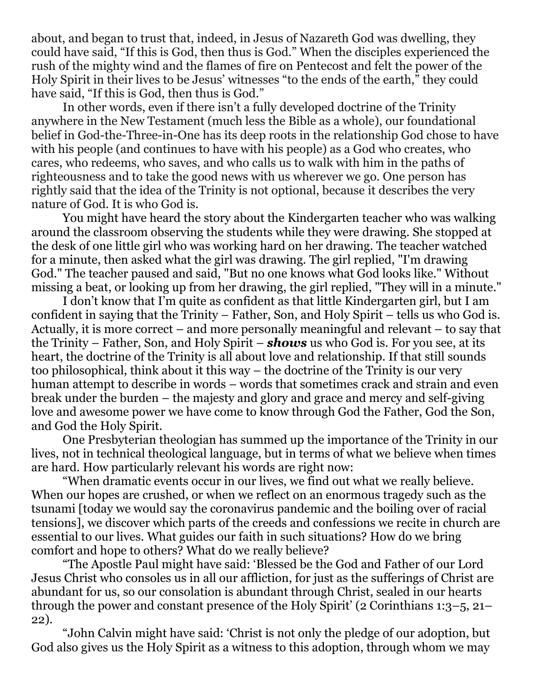about, and began to trust that, indeed, in Jesus of Nazareth God was dwelling, they could have said, "If this is God, then thus is God." When the disciples experienced the rush of the mighty wind and the flames of fire on Pentecost and felt the power of the Holy Spirit in their lives to be Jesus' witnesses "to the ends of the earth," they could have said, "If this is God, then thus is God."

In other words, even if there isn't a fully developed doctrine of the Trinity anywhere in the New Testament (much less the Bible as a whole), our foundational belief in God-the-Three-in-One has its deep roots in the relationship God chose to have with his people (and continues to have with his people) as a God who creates, who cares, who redeems, who saves, and who calls us to walk with him in the paths of righteousness and to take the good news with us wherever we go. One person has rightly said that the idea of the Trinity is not optional, because it describes the very nature of God. It is who God is.

You might have heard the story about the Kindergarten teacher who was walking around the classroom observing the students while they were drawing. She stopped at the desk of one little girl who was working hard on her drawing. The teacher watched for a minute, then asked what the girl was drawing. The girl replied, "I'm drawing God." The teacher paused and said, "But no one knows what God looks like." Without missing a beat, or looking up from her drawing, the girl replied, "They will in a minute."

I don't know that I'm quite as confident as that little Kindergarten girl, but I am confident in saying that the Trinity – Father, Son, and Holy Spirit – tells us who God is. Actually, it is more correct – and more personally meaningful and relevant – to say that the Trinity – Father, Son, and Holy Spirit – *shows* us who God is. For you see, at its heart, the doctrine of the Trinity is all about love and relationship. If that still sounds too philosophical, think about it this way – the doctrine of the Trinity is our very human attempt to describe in words – words that sometimes crack and strain and even break under the burden – the majesty and glory and grace and mercy and self-giving love and awesome power we have come to know through God the Father, God the Son, and God the Holy Spirit.

One Presbyterian theologian has summed up the importance of the Trinity in our lives, not in technical theological language, but in terms of what we believe when times are hard. How particularly relevant his words are right now:

"When dramatic events occur in our lives, we find out what we really believe. When our hopes are crushed, or when we reflect on an enormous tragedy such as the tsunami [today we would say the coronavirus pandemic and the boiling over of racial tensions], we discover which parts of the creeds and confessions we recite in church are essential to our lives. What guides our faith in such situations? How do we bring comfort and hope to others? What do we really believe?

"The Apostle Paul might have said: 'Blessed be the God and Father of our Lord Jesus Christ who consoles us in all our affliction, for just as the sufferings of Christ are abundant for us, so our consolation is abundant through Christ, sealed in our hearts through the power and constant presence of the Holy Spirit' (2 Corinthians 1:3–5, 21– 22).

"John Calvin might have said: 'Christ is not only the pledge of our adoption, but God also gives us the Holy Spirit as a witness to this adoption, through whom we may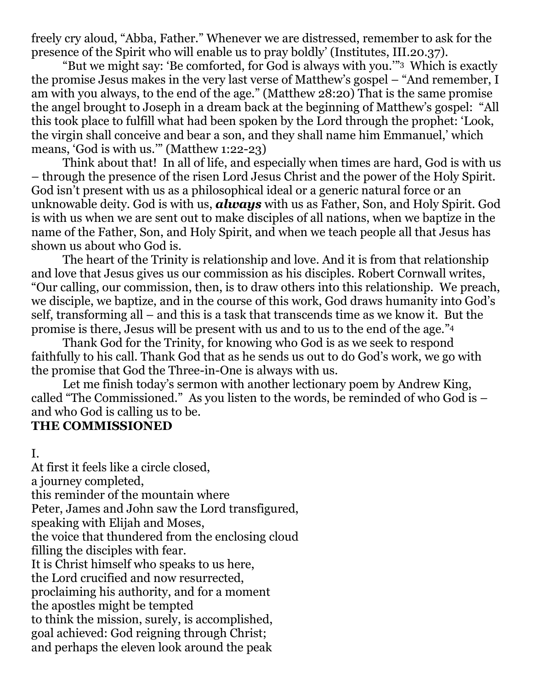freely cry aloud, "Abba, Father." Whenever we are distressed, remember to ask for the presence of the Spirit who will enable us to pray boldly' (Institutes, III.20.37).

"But we might say: 'Be comforted, for God is always with you.'" <sup>3</sup> Which is exactly the promise Jesus makes in the very last verse of Matthew's gospel – "And remember, I am with you always, to the end of the age." (Matthew 28:20) That is the same promise the angel brought to Joseph in a dream back at the beginning of Matthew's gospel: "All this took place to fulfill what had been spoken by the Lord through the prophet: 'Look, the virgin shall conceive and bear a son, and they shall name him Emmanuel,' which means, 'God is with us.'" (Matthew 1:22-23)

Think about that! In all of life, and especially when times are hard, God is with us – through the presence of the risen Lord Jesus Christ and the power of the Holy Spirit. God isn't present with us as a philosophical ideal or a generic natural force or an unknowable deity. God is with us, *always* with us as Father, Son, and Holy Spirit. God is with us when we are sent out to make disciples of all nations, when we baptize in the name of the Father, Son, and Holy Spirit, and when we teach people all that Jesus has shown us about who God is.

The heart of the Trinity is relationship and love. And it is from that relationship and love that Jesus gives us our commission as his disciples. Robert Cornwall writes, "Our calling, our commission, then, is to draw others into this relationship. We preach, we disciple, we baptize, and in the course of this work, God draws humanity into God's self, transforming all – and this is a task that transcends time as we know it. But the promise is there, Jesus will be present with us and to us to the end of the age." 4

Thank God for the Trinity, for knowing who God is as we seek to respond faithfully to his call. Thank God that as he sends us out to do God's work, we go with the promise that God the Three-in-One is always with us.

Let me finish today's sermon with another lectionary poem by Andrew King, called "The Commissioned." As you listen to the words, be reminded of who God is – and who God is calling us to be.

#### **THE COMMISSIONED**

## I.

At first it feels like a circle closed, a journey completed, this reminder of the mountain where Peter, James and John saw the Lord transfigured, speaking with Elijah and Moses, the voice that thundered from the enclosing cloud filling the disciples with fear. It is Christ himself who speaks to us here, the Lord crucified and now resurrected, proclaiming his authority, and for a moment the apostles might be tempted to think the mission, surely, is accomplished, goal achieved: God reigning through Christ; and perhaps the eleven look around the peak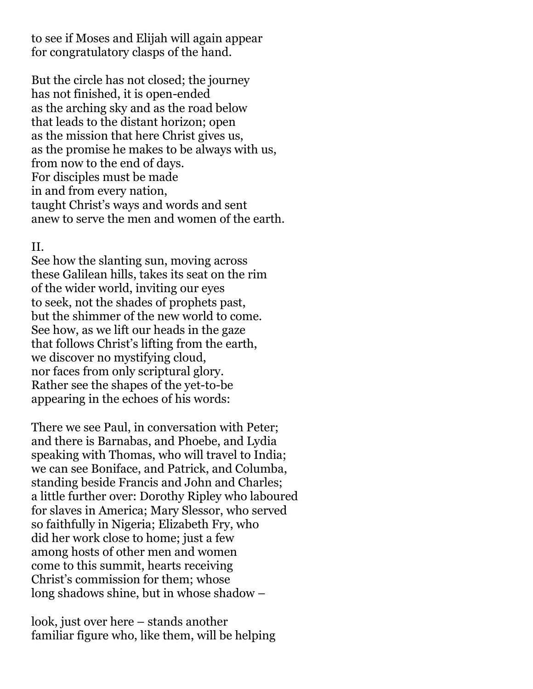to see if Moses and Elijah will again appear for congratulatory clasps of the hand.

But the circle has not closed; the journey has not finished, it is open-ended as the arching sky and as the road below that leads to the distant horizon; open as the mission that here Christ gives us, as the promise he makes to be always with us, from now to the end of days. For disciples must be made in and from every nation, taught Christ's ways and words and sent anew to serve the men and women of the earth.

## II.

See how the slanting sun, moving across these Galilean hills, takes its seat on the rim of the wider world, inviting our eyes to seek, not the shades of prophets past, but the shimmer of the new world to come. See how, as we lift our heads in the gaze that follows Christ's lifting from the earth, we discover no mystifying cloud, nor faces from only scriptural glory. Rather see the shapes of the yet-to-be appearing in the echoes of his words:

There we see Paul, in conversation with Peter; and there is Barnabas, and Phoebe, and Lydia speaking with Thomas, who will travel to India; we can see Boniface, and Patrick, and Columba, standing beside Francis and John and Charles; a little further over: Dorothy Ripley who laboured for slaves in America; Mary Slessor, who served so faithfully in Nigeria; Elizabeth Fry, who did her work close to home; just a few among hosts of other men and women come to this summit, hearts receiving Christ's commission for them; whose long shadows shine, but in whose shadow –

look, just over here – stands another familiar figure who, like them, will be helping